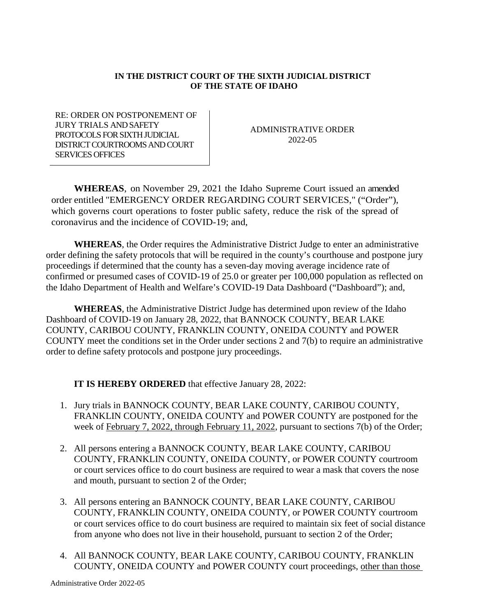## **IN THE DISTRICT COURT OF THE SIXTH JUDICIAL DISTRICT OF THE STATE OF IDAHO**

RE: ORDER ON POSTPONEMENT OF JURY TRIALS AND SAFETY PROTOCOLS FOR SIXTH JUDICIAL DISTRICT COURTROOMS AND COURT SERVICES OFFICES

ADMINISTRATIVE ORDER 2022-05

**WHEREAS**, on November 29, 2021 the Idaho Supreme Court issued an amended order entitled "EMERGENCY ORDER REGARDING COURT SERVICES," ("Order"), which governs court operations to foster public safety, reduce the risk of the spread of coronavirus and the incidence of COVID-19; and,

**WHEREAS**, the Order requires the Administrative District Judge to enter an administrative order defining the safety protocols that will be required in the county's courthouse and postpone jury proceedings if determined that the county has a seven-day moving average incidence rate of confirmed or presumed cases of COVID-19 of 25.0 or greater per 100,000 population as reflected on the Idaho Department of Health and Welfare's COVID-19 Data Dashboard ("Dashboard"); and,

**WHEREAS**, the Administrative District Judge has determined upon review of the Idaho Dashboard of COVID-19 on January 28, 2022, that BANNOCK COUNTY, BEAR LAKE COUNTY, CARIBOU COUNTY, FRANKLIN COUNTY, ONEIDA COUNTY and POWER COUNTY meet the conditions set in the Order under sections 2 and 7(b) to require an administrative order to define safety protocols and postpone jury proceedings.

**IT IS HEREBY ORDERED** that effective January 28, 2022:

- 1. Jury trials in BANNOCK COUNTY, BEAR LAKE COUNTY, CARIBOU COUNTY, FRANKLIN COUNTY, ONEIDA COUNTY and POWER COUNTY are postponed for the week of February 7, 2022, through February 11, 2022, pursuant to sections 7(b) of the Order;
- 2. All persons entering a BANNOCK COUNTY, BEAR LAKE COUNTY, CARIBOU COUNTY, FRANKLIN COUNTY, ONEIDA COUNTY, or POWER COUNTY courtroom or court services office to do court business are required to wear a mask that covers the nose and mouth, pursuant to section 2 of the Order;
- 3. All persons entering an BANNOCK COUNTY, BEAR LAKE COUNTY, CARIBOU COUNTY, FRANKLIN COUNTY, ONEIDA COUNTY, or POWER COUNTY courtroom or court services office to do court business are required to maintain six feet of social distance from anyone who does not live in their household, pursuant to section 2 of the Order;
- 4. All BANNOCK COUNTY, BEAR LAKE COUNTY, CARIBOU COUNTY, FRANKLIN COUNTY, ONEIDA COUNTY and POWER COUNTY court proceedings, other than those